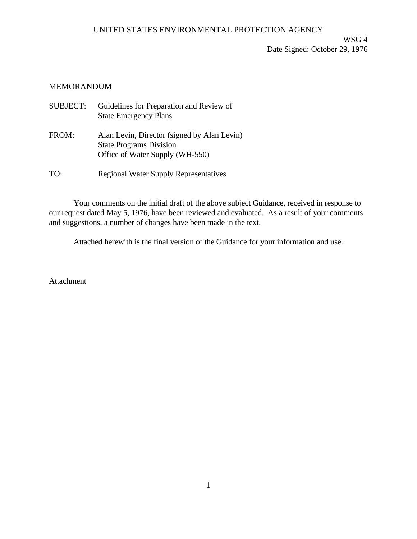WSG 4 Date Signed: October 29, 1976

## MEMORANDUM

| <b>SUBJECT:</b> | Guidelines for Preparation and Review of<br><b>State Emergency Plans</b>                                         |
|-----------------|------------------------------------------------------------------------------------------------------------------|
| FROM:           | Alan Levin, Director (signed by Alan Levin)<br><b>State Programs Division</b><br>Office of Water Supply (WH-550) |

TO: Regional Water Supply Representatives

Your comments on the initial draft of the above subject Guidance, received in response to our request dated May 5, 1976, have been reviewed and evaluated. As a result of your comments and suggestions, a number of changes have been made in the text.

Attached herewith is the final version of the Guidance for your information and use.

Attachment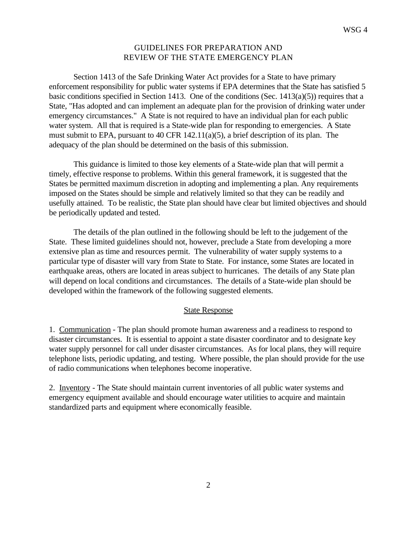## GUIDELINES FOR PREPARATION AND REVIEW OF THE STATE EMERGENCY PLAN

Section 1413 of the Safe Drinking Water Act provides for a State to have primary enforcement responsibility for public water systems if EPA determines that the State has satisfied 5 basic conditions specified in Section 1413. One of the conditions (Sec.  $1413(a)(5)$ ) requires that a State, "Has adopted and can implement an adequate plan for the provision of drinking water under emergency circumstances." A State is not required to have an individual plan for each public water system. All that is required is a State-wide plan for responding to emergencies. A State must submit to EPA, pursuant to 40 CFR 142.11(a)(5), a brief description of its plan. The adequacy of the plan should be determined on the basis of this submission.

This guidance is limited to those key elements of a State-wide plan that will permit a timely, effective response to problems. Within this general framework, it is suggested that the States be permitted maximum discretion in adopting and implementing a plan. Any requirements imposed on the States should be simple and relatively limited so that they can be readily and usefully attained. To be realistic, the State plan should have clear but limited objectives and should be periodically updated and tested.

The details of the plan outlined in the following should be left to the judgement of the State. These limited guidelines should not, however, preclude a State from developing a more extensive plan as time and resources permit. The vulnerability of water supply systems to a particular type of disaster will vary from State to State. For instance, some States are located in earthquake areas, others are located in areas subject to hurricanes. The details of any State plan will depend on local conditions and circumstances. The details of a State-wide plan should be developed within the framework of the following suggested elements.

## State Response

1. Communication - The plan should promote human awareness and a readiness to respond to disaster circumstances. It is essential to appoint a state disaster coordinator and to designate key water supply personnel for call under disaster circumstances. As for local plans, they will require telephone lists, periodic updating, and testing. Where possible, the plan should provide for the use of radio communications when telephones become inoperative.

2. Inventory - The State should maintain current inventories of all public water systems and emergency equipment available and should encourage water utilities to acquire and maintain standardized parts and equipment where economically feasible.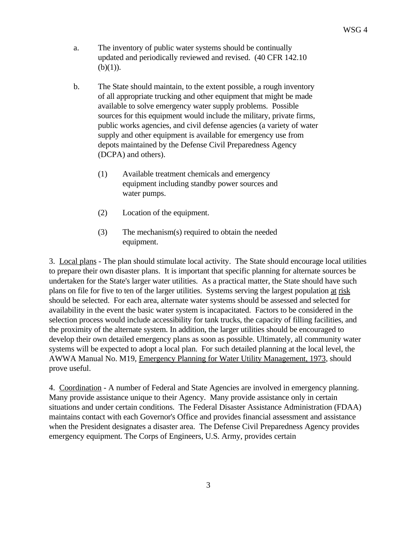- a. The inventory of public water systems should be continually updated and periodically reviewed and revised. (40 CFR 142.10  $(b)(1)$ ).
- b. The State should maintain, to the extent possible, a rough inventory of all appropriate trucking and other equipment that might be made available to solve emergency water supply problems. Possible sources for this equipment would include the military, private firms, public works agencies, and civil defense agencies (a variety of water supply and other equipment is available for emergency use from depots maintained by the Defense Civil Preparedness Agency (DCPA) and others).
	- (1) Available treatment chemicals and emergency equipment including standby power sources and water pumps.
	- (2) Location of the equipment.
	- (3) The mechanism(s) required to obtain the needed equipment.

3. Local plans - The plan should stimulate local activity. The State should encourage local utilities to prepare their own disaster plans. It is important that specific planning for alternate sources be undertaken for the State's larger water utilities. As a practical matter, the State should have such plans on file for five to ten of the larger utilities. Systems serving the largest population at risk should be selected. For each area, alternate water systems should be assessed and selected for availability in the event the basic water system is incapacitated. Factors to be considered in the selection process would include accessibility for tank trucks, the capacity of filling facilities, and the proximity of the alternate system. In addition, the larger utilities should be encouraged to develop their own detailed emergency plans as soon as possible. Ultimately, all community water systems will be expected to adopt a local plan. For such detailed planning at the local level, the AWWA Manual No. M19, Emergency Planning for Water Utility Management, 1973, should prove useful.

4. Coordination - A number of Federal and State Agencies are involved in emergency planning. Many provide assistance unique to their Agency. Many provide assistance only in certain situations and under certain conditions. The Federal Disaster Assistance Administration (FDAA) maintains contact with each Governor's Office and provides financial assessment and assistance when the President designates a disaster area. The Defense Civil Preparedness Agency provides emergency equipment. The Corps of Engineers, U.S. Army, provides certain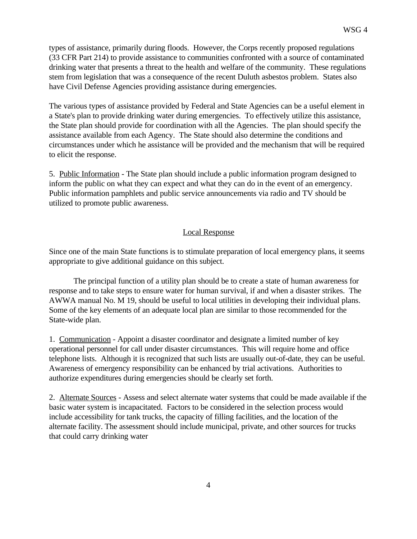types of assistance, primarily during floods. However, the Corps recently proposed regulations (33 CFR Part 214) to provide assistance to communities confronted with a source of contaminated drinking water that presents a threat to the health and welfare of the community. These regulations stem from legislation that was a consequence of the recent Duluth asbestos problem. States also have Civil Defense Agencies providing assistance during emergencies.

The various types of assistance provided by Federal and State Agencies can be a useful element in a State's plan to provide drinking water during emergencies. To effectively utilize this assistance, the State plan should provide for coordination with all the Agencies. The plan should specify the assistance available from each Agency. The State should also determine the conditions and circumstances under which he assistance will be provided and the mechanism that will be required to elicit the response.

5. Public Information - The State plan should include a public information program designed to inform the public on what they can expect and what they can do in the event of an emergency. Public information pamphlets and public service announcements via radio and TV should be utilized to promote public awareness.

## Local Response

Since one of the main State functions is to stimulate preparation of local emergency plans, it seems appropriate to give additional guidance on this subject.

The principal function of a utility plan should be to create a state of human awareness for response and to take steps to ensure water for human survival, if and when a disaster strikes. The AWWA manual No. M 19, should be useful to local utilities in developing their individual plans. Some of the key elements of an adequate local plan are similar to those recommended for the State-wide plan.

1. Communication - Appoint a disaster coordinator and designate a limited number of key operational personnel for call under disaster circumstances. This will require home and office telephone lists. Although it is recognized that such lists are usually out-of-date, they can be useful. Awareness of emergency responsibility can be enhanced by trial activations. Authorities to authorize expenditures during emergencies should be clearly set forth.

2. Alternate Sources - Assess and select alternate water systems that could be made available if the basic water system is incapacitated. Factors to be considered in the selection process would include accessibility for tank trucks, the capacity of filling facilities, and the location of the alternate facility. The assessment should include municipal, private, and other sources for trucks that could carry drinking water